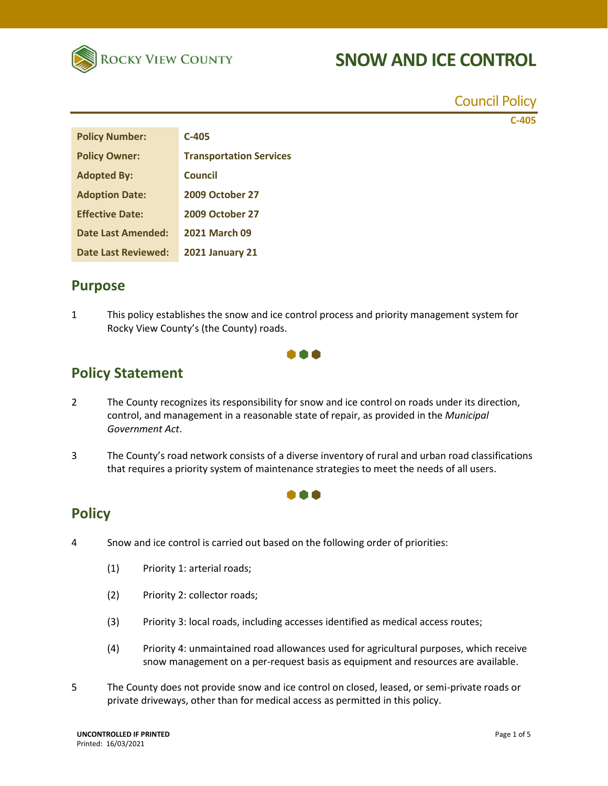

Council Policy

**C-405**

| <b>Policy Number:</b>     | $C-405$                        |
|---------------------------|--------------------------------|
| <b>Policy Owner:</b>      | <b>Transportation Services</b> |
| <b>Adopted By:</b>        | Council                        |
| <b>Adoption Date:</b>     | <b>2009 October 27</b>         |
| <b>Effective Date:</b>    | <b>2009 October 27</b>         |
| <b>Date Last Amended:</b> | <b>2021 March 09</b>           |
| Date Last Reviewed:       | <b>2021 January 21</b>         |

### **Purpose**

1 This policy establishes the snow and ice control process and priority management system for Rocky View County's (the County) roads.



## **Policy Statement**

- 2 The County recognizes its responsibility for snow and ice control on roads under its direction, control, and management in a reasonable state of repair, as provided in the *Municipal Government Act*.
- 3 The County's road network consists of a diverse inventory of rural and urban road classifications that requires a priority system of maintenance strategies to meet the needs of all users.

000

### **Policy**

- 4 Snow and ice control is carried out based on the following order of priorities:
	- (1) Priority 1: arterial roads;
	- (2) Priority 2: collector roads;
	- (3) Priority 3: local roads, including accesses identified as medical access routes;
	- (4) Priority 4: unmaintained road allowances used for agricultural purposes, which receive snow management on a per-request basis as equipment and resources are available.
- 5 The County does not provide snow and ice control on closed, leased, or semi-private roads or private driveways, other than for medical access as permitted in this policy.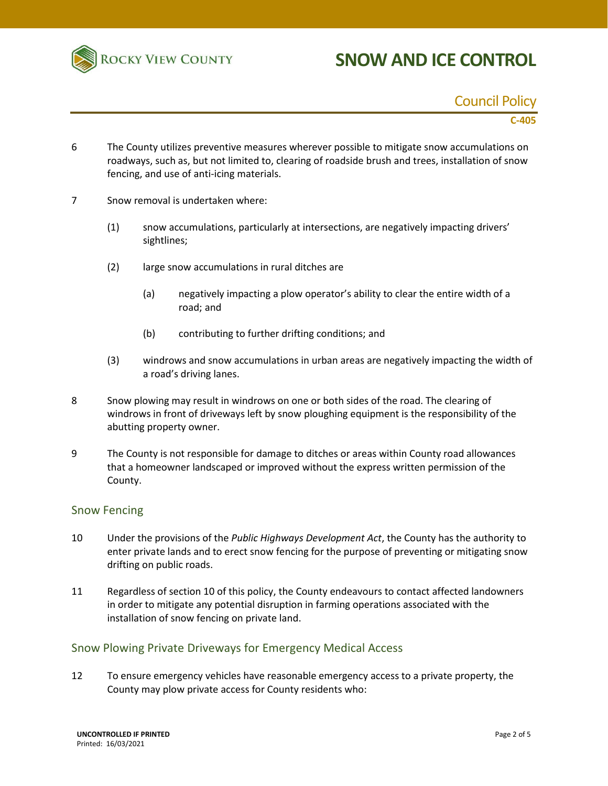

#### Council Policy

#### **C-405**

- 6 The County utilizes preventive measures wherever possible to mitigate snow accumulations on roadways, such as, but not limited to, clearing of roadside brush and trees, installation of snow fencing, and use of anti-icing materials.
- 7 Snow removal is undertaken where:
	- (1) snow accumulations, particularly at intersections, are negatively impacting drivers' sightlines;
	- (2) large snow accumulations in rural ditches are
		- (a) negatively impacting a plow operator's ability to clear the entire width of a road; and
		- (b) contributing to further drifting conditions; and
	- (3) windrows and snow accumulations in urban areas are negatively impacting the width of a road's driving lanes.
- 8 Snow plowing may result in windrows on one or both sides of the road. The clearing of windrows in front of driveways left by snow ploughing equipment is the responsibility of the abutting property owner.
- 9 The County is not responsible for damage to ditches or areas within County road allowances that a homeowner landscaped or improved without the express written permission of the County.

#### Snow Fencing

- 10 Under the provisions of the *Public Highways Development Act*, the County has the authority to enter private lands and to erect snow fencing for the purpose of preventing or mitigating snow drifting on public roads.
- 11 Regardless of section 10 of this policy, the County endeavours to contact affected landowners in order to mitigate any potential disruption in farming operations associated with the installation of snow fencing on private land.

#### Snow Plowing Private Driveways for Emergency Medical Access

12 To ensure emergency vehicles have reasonable emergency access to a private property, the County may plow private access for County residents who: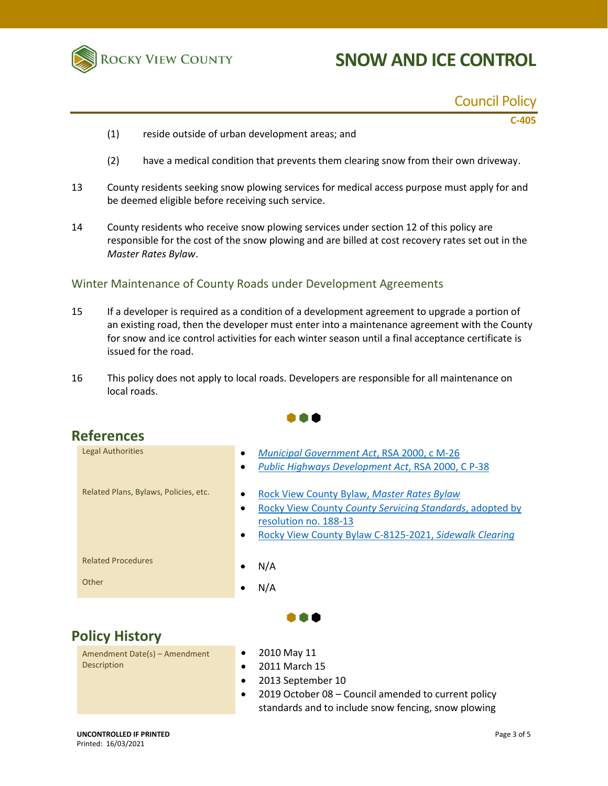

### Council Policy

**C-405**

- (1) reside outside of urban development areas; and
- (2) have a medical condition that prevents them clearing snow from their own driveway.
- 13 County residents seeking snow plowing services for medical access purpose must apply for and be deemed eligible before receiving such service.
- 14 County residents who receive snow plowing services under section 12 of this policy are responsible for the cost of the snow plowing and are billed at cost recovery rates set out in the *Master Rates Bylaw*.

#### Winter Maintenance of County Roads under Development Agreements

- 15 If a developer is required as a condition of a development agreement to upgrade a portion of an existing road, then the developer must enter into a maintenance agreement with the County for snow and ice control activities for each winter season until a final acceptance certificate is issued for the road.
- 16 This policy does not apply to local roads. Developers are responsible for all maintenance on local roads.

 $\bullet\bullet\bullet$ 



- 2013 September 10
- 2019 October 08 Council amended to current policy standards and to include snow fencing, snow plowing

#### **UNCONTROLLED IF PRINTED** Printed: 16/03/2021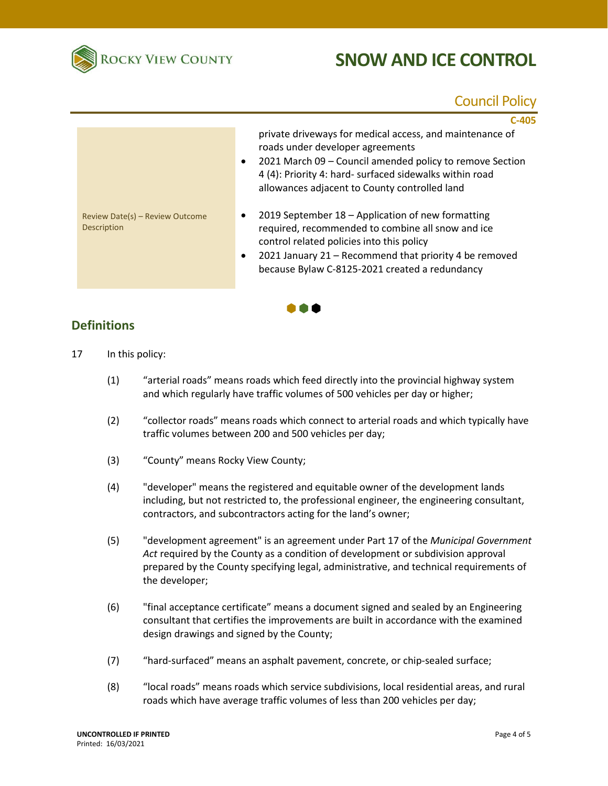

### Council Policy

|                                                | $C-405$                                                                                                                                                                                                                                                                           |
|------------------------------------------------|-----------------------------------------------------------------------------------------------------------------------------------------------------------------------------------------------------------------------------------------------------------------------------------|
|                                                | private driveways for medical access, and maintenance of<br>roads under developer agreements<br>2021 March 09 - Council amended policy to remove Section<br>$\bullet$<br>4 (4): Priority 4: hard- surfaced sidewalks within road<br>allowances adjacent to County controlled land |
| Review Date(s) - Review Outcome<br>Description | 2019 September 18 - Application of new formatting<br>٠<br>required, recommended to combine all snow and ice<br>control related policies into this policy<br>2021 January 21 - Recommend that priority 4 be removed<br>٠<br>because Bylaw C-8125-2021 created a redundancy         |

 $\bullet \bullet \bullet$ 

### **Definitions**

- 17 In this policy:
	- (1) "arterial roads" means roads which feed directly into the provincial highway system and which regularly have traffic volumes of 500 vehicles per day or higher;
	- (2) "collector roads" means roads which connect to arterial roads and which typically have traffic volumes between 200 and 500 vehicles per day;
	- (3) "County" means Rocky View County;
	- (4) "developer" means the registered and equitable owner of the development lands including, but not restricted to, the professional engineer, the engineering consultant, contractors, and subcontractors acting for the land's owner;
	- (5) "development agreement" is an agreement under Part 17 of the *Municipal Government Act* required by the County as a condition of development or subdivision approval prepared by the County specifying legal, administrative, and technical requirements of the developer;
	- (6) "final acceptance certificate" means a document signed and sealed by an Engineering consultant that certifies the improvements are built in accordance with the examined design drawings and signed by the County;
	- (7) "hard-surfaced" means an asphalt pavement, concrete, or chip-sealed surface;
	- (8) "local roads" means roads which service subdivisions, local residential areas, and rural roads which have average traffic volumes of less than 200 vehicles per day;